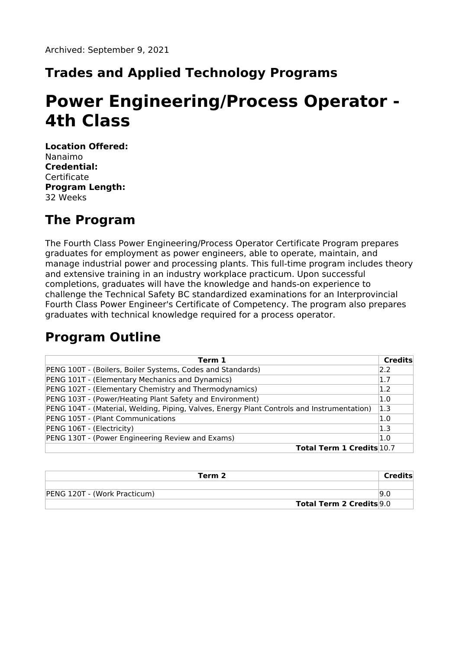# **Trades and Applied Technology Programs**

# **Power Engineering/Process Operator - 4th Class**

**Location Offered:** Nanaimo **Credential: Certificate Program Length:** 32 Weeks

## **The Program**

The Fourth Class Power Engineering/Process Operator Certificate Program prepares graduates for employment as power engineers, able to operate, maintain, and manage industrial power and processing plants. This full-time program includes theory and extensive training in an industry workplace practicum. Upon successful completions, graduates will have the knowledge and hands-on experience to challenge the Technical Safety BC standardized examinations for an Interprovincial Fourth Class Power Engineer's Certificate of Competency. The program also prepares graduates with technical knowledge required for a process operator.

### **Program Outline**

| Term 1                                                                                     | Credits |
|--------------------------------------------------------------------------------------------|---------|
| PENG 100T - (Boilers, Boiler Systems, Codes and Standards)                                 | 2.2     |
| PENG 101T - (Elementary Mechanics and Dynamics)                                            | 1.7     |
| PENG 102T - (Elementary Chemistry and Thermodynamics)                                      |         |
| PENG 103T - (Power/Heating Plant Safety and Environment)                                   |         |
| PENG 104T - (Material, Welding, Piping, Valves, Energy Plant Controls and Instrumentation) |         |
| PENG 105T - (Plant Communications                                                          | 1.0     |
| PENG 106T - (Electricity)                                                                  | 1.3     |
| PENG 130T - (Power Engineering Review and Exams)                                           | 1.0     |
| <b>Total Term 1 Credits 10.7</b>                                                           |         |

| Term 2                       |                          | Credits |
|------------------------------|--------------------------|---------|
|                              |                          |         |
| PENG 120T - (Work Practicum) |                          | 19.0    |
|                              | Total Term 2 Credits 9.0 |         |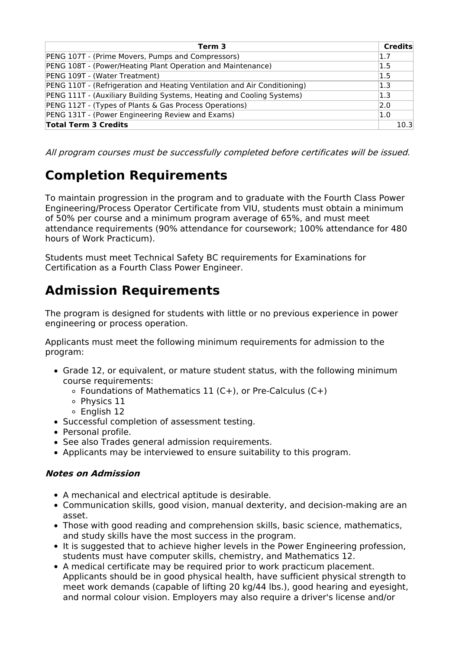| Term 3                                                                   | <b>Credits</b> |
|--------------------------------------------------------------------------|----------------|
| PENG 107T - (Prime Movers, Pumps and Compressors)                        | 1.7            |
| PENG 108T - (Power/Heating Plant Operation and Maintenance)              | 1.5            |
| PENG 109T - (Water Treatment)                                            | 1.5            |
| PENG 110T - (Refrigeration and Heating Ventilation and Air Conditioning) | 1.3            |
| PENG 111T - (Auxiliary Building Systems, Heating and Cooling Systems)    | 1.3            |
| PENG 112T - (Types of Plants & Gas Process Operations)                   | 2.0            |
| PENG 131T - (Power Engineering Review and Exams)                         | 1.0            |
| <b>Total Term 3 Credits</b>                                              | 10.3           |

All program courses must be successfully completed before certificates will be issued.

# **Completion Requirements**

To maintain progression in the program and to graduate with the Fourth Class Power Engineering/Process Operator Certificate from VIU, students must obtain a minimum of 50% per course and a minimum program average of 65%, and must meet attendance requirements (90% attendance for coursework; 100% attendance for 480 hours of Work Practicum).

Students must meet Technical Safety BC requirements for Examinations for Certification as a Fourth Class Power Engineer.

# **Admission Requirements**

The program is designed for students with little or no previous experience in power engineering or process operation.

Applicants must meet the following minimum requirements for admission to the program:

- Grade 12, or equivalent, or mature student status, with the following minimum course requirements:
	- $\circ$  Foundations of Mathematics 11 (C+), or Pre-Calculus (C+)
	- o Physics 11
	- o English 12
- Successful completion of assessment testing.
- Personal profile.
- See also Trades general admission requirements.
- Applicants may be interviewed to ensure suitability to this program.

#### **Notes on Admission**

- A mechanical and electrical aptitude is desirable.
- Communication skills, good vision, manual dexterity, and decision-making are an asset.
- Those with good reading and comprehension skills, basic science, mathematics, and study skills have the most success in the program.
- It is suggested that to achieve higher levels in the Power Engineering profession, students must have computer skills, chemistry, and Mathematics 12.
- A medical certificate may be required prior to work practicum placement. Applicants should be in good physical health, have sufficient physical strength to meet work demands (capable of lifting 20 kg/44 lbs.), good hearing and eyesight, and normal colour vision. Employers may also require a driver's license and/or